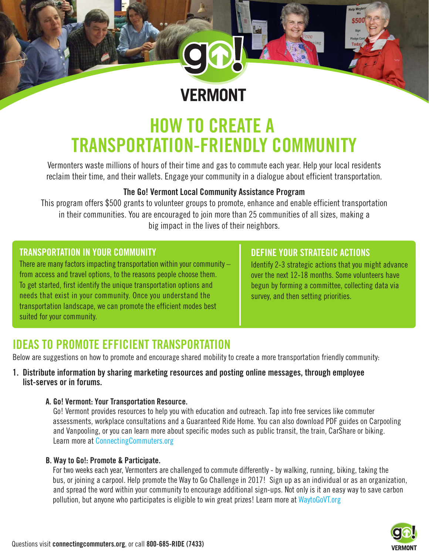

# **HOW TO CREATE A TRANSPORTATION-FRIENDLY COMMUNITY**

Vermonters waste millions of hours of their time and gas to commute each year. Help your local residents reclaim their time, and their wallets. Engage your community in a dialogue about efficient transportation.

#### **The Go! Vermont Local Community Assistance Program**

This program offers \$500 grants to volunteer groups to promote, enhance and enable efficient transportation in their communities. You are encouraged to join more than 25 communities of all sizes, making a big impact in the lives of their neighbors.

#### **TRANSPORTATION IN YOUR COMMUNITY**

There are many factors impacting transportation within your community  $$ from access and travel options, to the reasons people choose them. To get started, first identify the unique transportation options and needs that exist in your community. Once you understand the transportation landscape, we can promote the efficient modes best suited for your community.

#### **DEFINE YOUR STRATEGIC ACTIONS**

Identify 2-3 strategic actions that you might advance over the next 12-18 months. Some volunteers have begun by forming a committee, collecting data via survey, and then setting priorities.

## **IDEAS TO PROMOTE EFFICIENT TRANSPORTATION**

Below are suggestions on how to promote and encourage shared mobility to create a more transportation friendly community:

#### **1. Distribute information by sharing marketing resources and posting online messages, through employee list-serves or in forums.**

#### **A. Go! Vermont: Your Transportation Resource.**

 Go! Vermont provides resources to help you with education and outreach. Tap into free services like commuter assessments, workplace consultations and a Guaranteed Ride Home. You can also download PDF guides on Carpooling and Vanpooling, or you can learn more about specific modes such as public transit, the train, CarShare or biking. Learn more at ConnectingCommuters.org

#### **B. Way to Go!: Promote & Participate.**

 For two weeks each year, Vermonters are challenged to commute differently - by walking, running, biking, taking the bus, or joining a carpool. Help promote the Way to Go Challenge in 2017! Sign up as an individual or as an organization, and spread the word within your community to encourage additional sign-ups. Not only is it an easy way to save carbon pollution, but anyone who participates is eligible to win great prizes! Learn more at WaytoGoVT.org